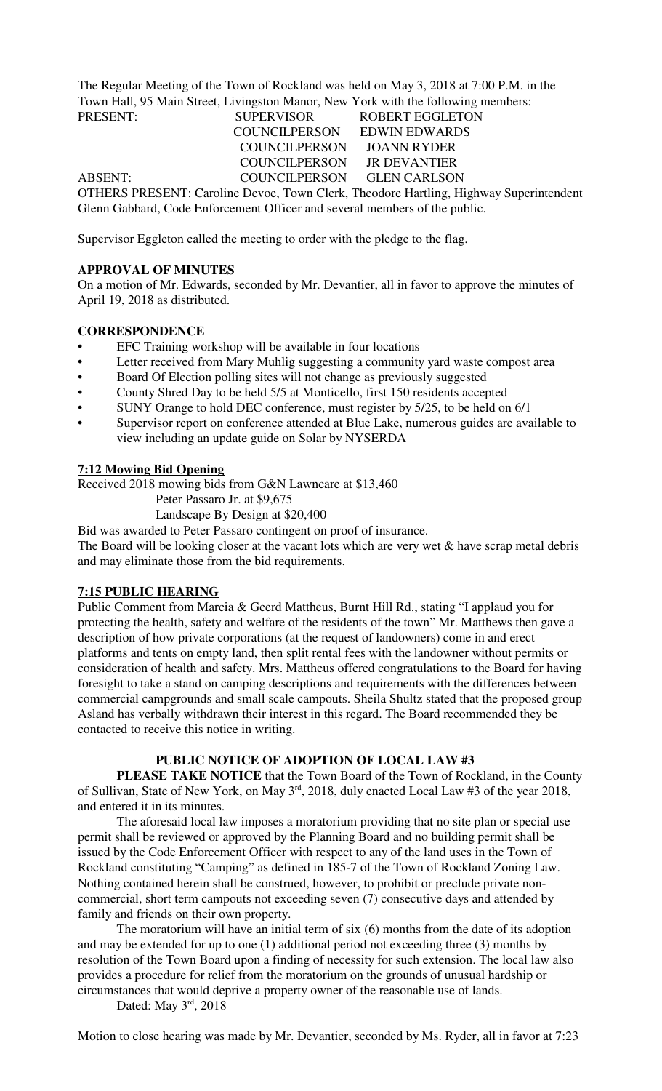The Regular Meeting of the Town of Rockland was held on May 3, 2018 at 7:00 P.M. in the Town Hall, 95 Main Street, Livingston Manor, New York with the following members: PRESENT: SUPERVISOR ROBERT EGGLETON

 COUNCILPERSON EDWIN EDWARDS COUNCILPERSON JOANN RYDER COUNCILPERSON JR DEVANTIER ABSENT: COUNCILPERSON GLEN CARLSON OTHERS PRESENT: Caroline Devoe, Town Clerk, Theodore Hartling, Highway Superintendent Glenn Gabbard, Code Enforcement Officer and several members of the public.

Supervisor Eggleton called the meeting to order with the pledge to the flag.

### **APPROVAL OF MINUTES**

On a motion of Mr. Edwards, seconded by Mr. Devantier, all in favor to approve the minutes of April 19, 2018 as distributed.

### **CORRESPONDENCE**

- EFC Training workshop will be available in four locations
- Letter received from Mary Muhlig suggesting a community yard waste compost area
- Board Of Election polling sites will not change as previously suggested
- County Shred Day to be held 5/5 at Monticello, first 150 residents accepted
- SUNY Orange to hold DEC conference, must register by 5/25, to be held on 6/1
- Supervisor report on conference attended at Blue Lake, numerous guides are available to view including an update guide on Solar by NYSERDA

### **7:12 Mowing Bid Opening**

Received 2018 mowing bids from G&N Lawncare at \$13,460

- Peter Passaro Jr. at \$9,675
- Landscape By Design at \$20,400

Bid was awarded to Peter Passaro contingent on proof of insurance.

The Board will be looking closer at the vacant lots which are very wet & have scrap metal debris and may eliminate those from the bid requirements.

### **7:15 PUBLIC HEARING**

Public Comment from Marcia & Geerd Mattheus, Burnt Hill Rd., stating "I applaud you for protecting the health, safety and welfare of the residents of the town" Mr. Matthews then gave a description of how private corporations (at the request of landowners) come in and erect platforms and tents on empty land, then split rental fees with the landowner without permits or consideration of health and safety. Mrs. Mattheus offered congratulations to the Board for having foresight to take a stand on camping descriptions and requirements with the differences between commercial campgrounds and small scale campouts. Sheila Shultz stated that the proposed group Asland has verbally withdrawn their interest in this regard. The Board recommended they be contacted to receive this notice in writing.

#### **PUBLIC NOTICE OF ADOPTION OF LOCAL LAW #3**

**PLEASE TAKE NOTICE** that the Town Board of the Town of Rockland, in the County of Sullivan, State of New York, on May 3rd, 2018, duly enacted Local Law #3 of the year 2018, and entered it in its minutes.

The aforesaid local law imposes a moratorium providing that no site plan or special use permit shall be reviewed or approved by the Planning Board and no building permit shall be issued by the Code Enforcement Officer with respect to any of the land uses in the Town of Rockland constituting "Camping" as defined in 185-7 of the Town of Rockland Zoning Law. Nothing contained herein shall be construed, however, to prohibit or preclude private noncommercial, short term campouts not exceeding seven (7) consecutive days and attended by family and friends on their own property.

The moratorium will have an initial term of six (6) months from the date of its adoption and may be extended for up to one (1) additional period not exceeding three (3) months by resolution of the Town Board upon a finding of necessity for such extension. The local law also provides a procedure for relief from the moratorium on the grounds of unusual hardship or circumstances that would deprive a property owner of the reasonable use of lands.

Dated: May 3rd, 2018